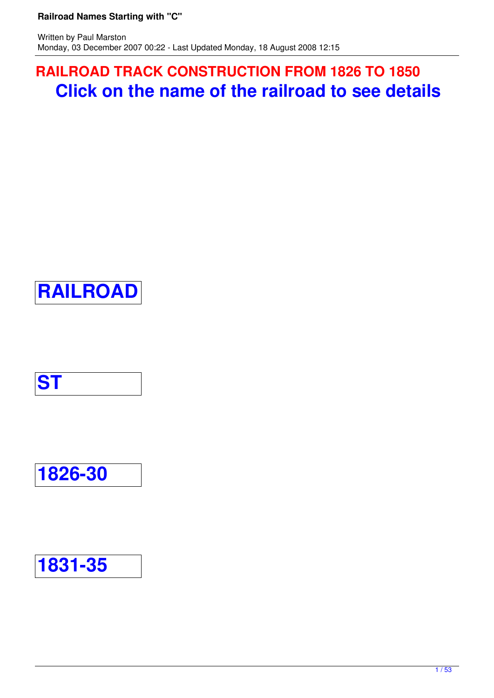#### **RAILROAD TRACK CONSTRUCTION FROM 1826 TO 1850 Click on the name of the railroad to see details**



# **1826-30**

**ST**

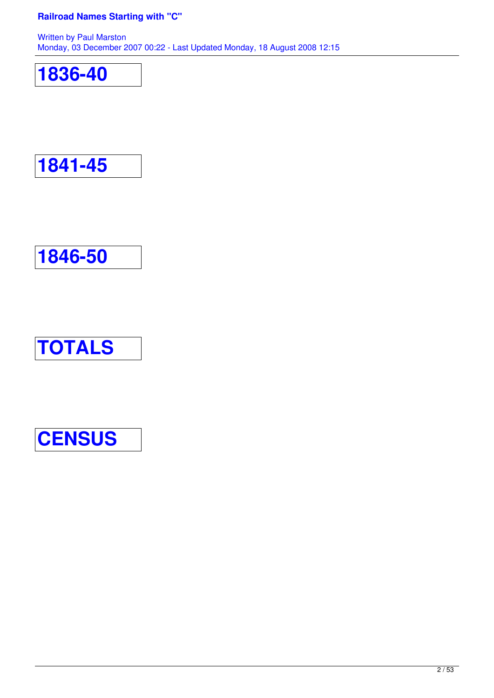#### **1836-40**



# **1846-50**



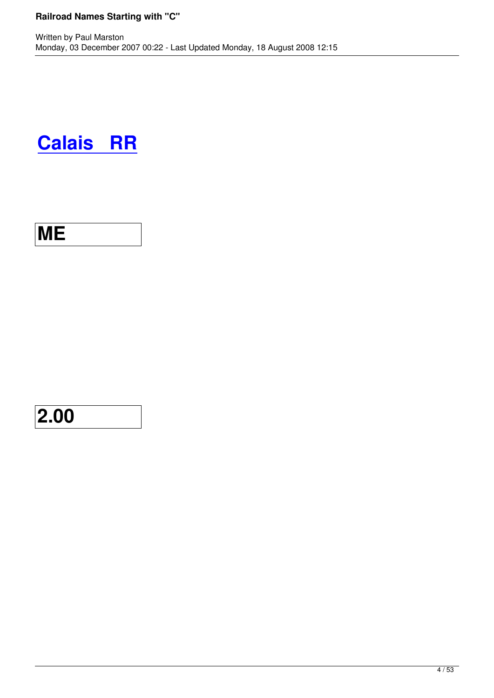# **Calais RR**

Written by Paul Marston by Paul Marston by Paul Marston by Paul Marston by Paul Marston by Paul Marston by Pau

### **ME**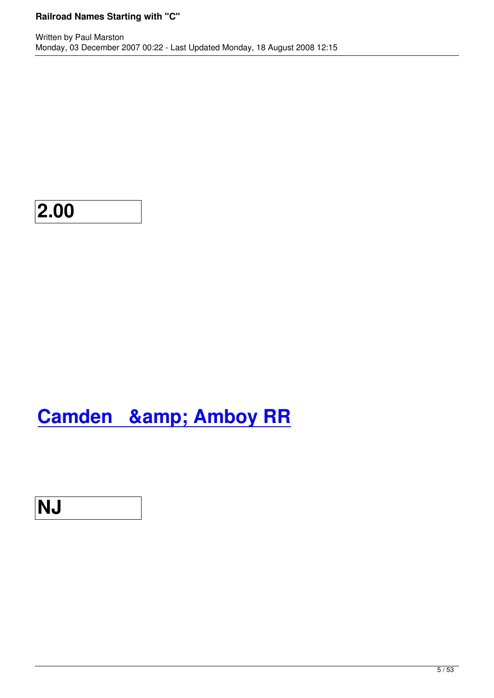**2.00**

Written by Paul Marston by Paul Marston by Paul Marston by Paul Marston by Paul Marston by Paul Marston by Pau

# **Camden & amp; Amboy RR**

**NJ**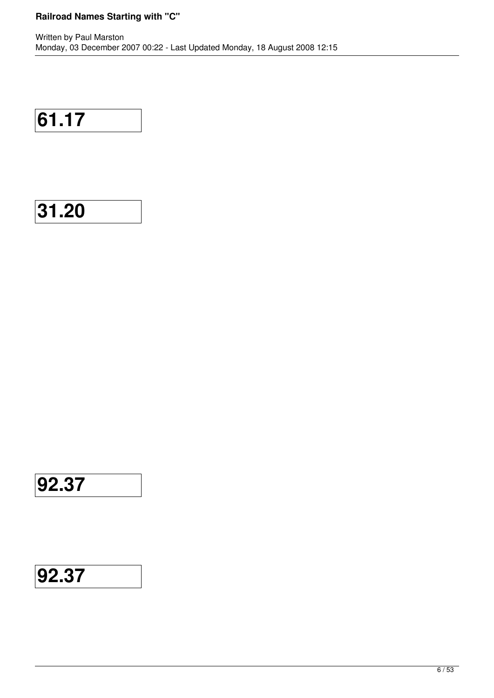$$
\boxed{61.17}
$$

# **31.20**

# **92.37**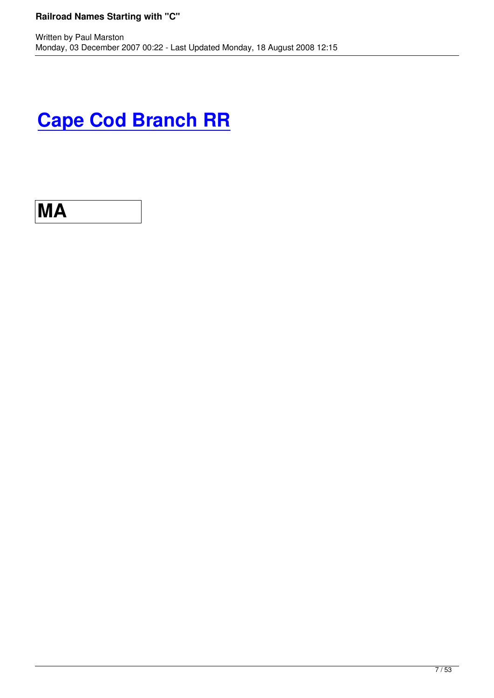# **Cape Cod Branch RR**

#### **MA**

Written by Paul Marston by Paul Marston by Paul Marston by Paul Marston by Paul Marston by Paul Marston by Pau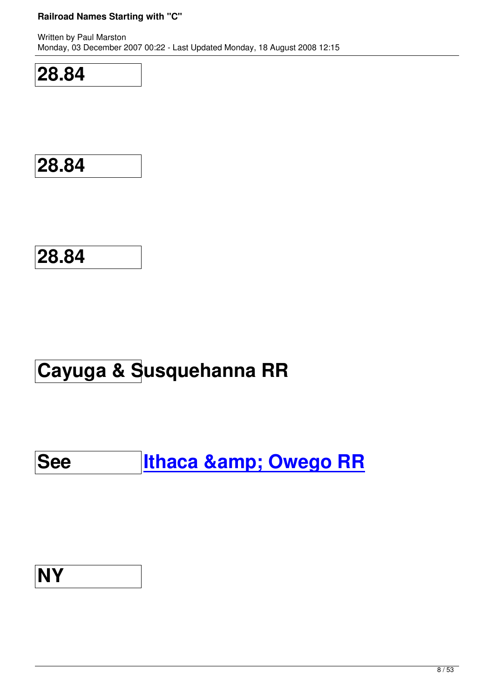**28.84**

**28.84**

# **Cayuga & Susquehanna RR**

**See Ithaca & amp; Owego RR** 

$$
|\mathbf{N}\mathbf{Y}
$$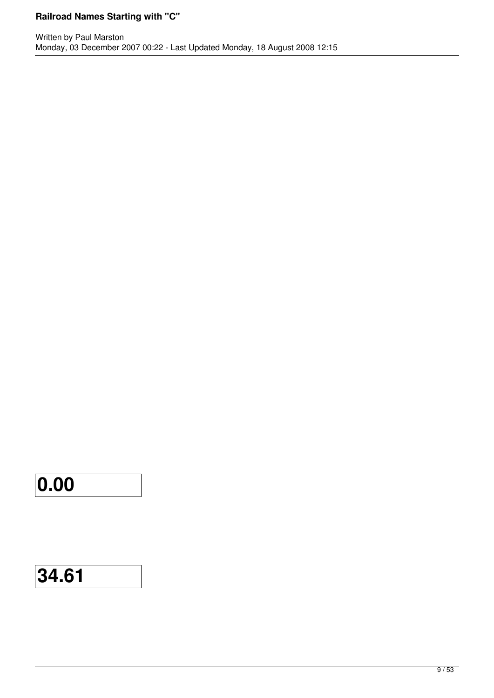# **0.00**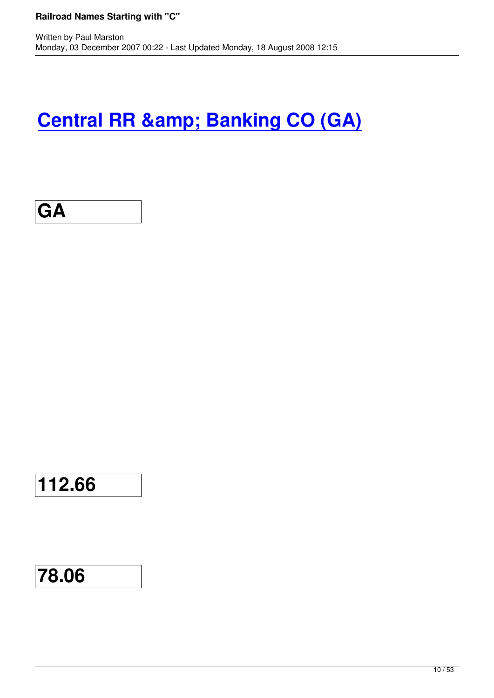# **Central RR & Banking CO (GA)**

# **GA**

Written by Paul Marston by Paul Marston by Paul Marston by Paul Marston by Paul Marston by Paul Marston by Pau

#### **112.66**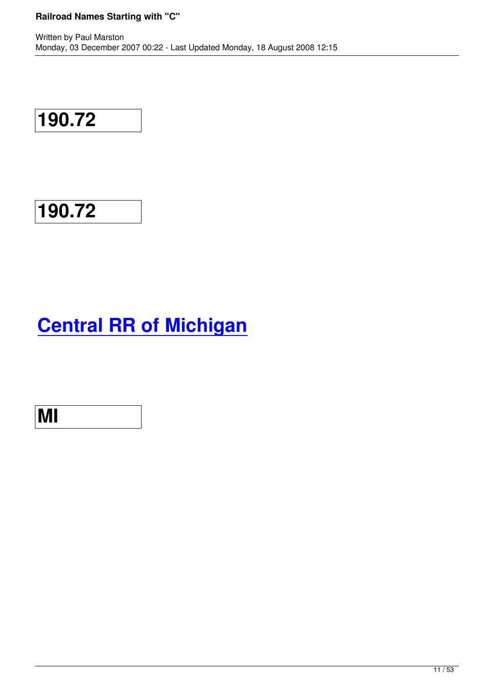Written by Paul Marston by Paul Marston by Paul Marston by Paul Marston by Paul Marston by Paul Marston by Pau

### **190.72**

# **Central RR of Michigan**

#### **MI**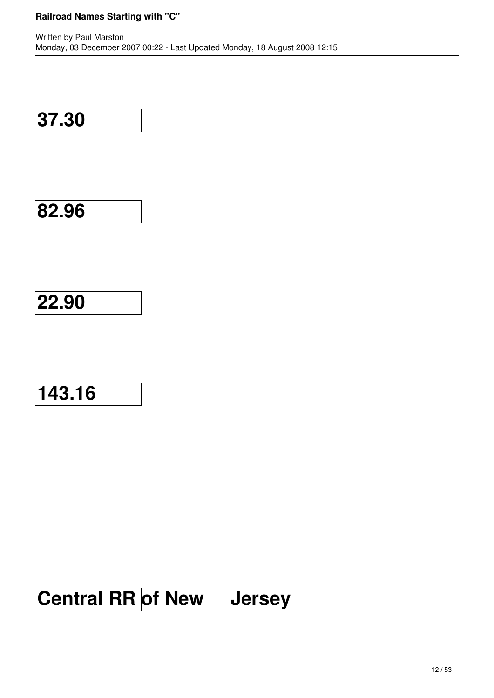$$
\fbox{37.30}
$$

### **82.96**

#### **22.90**

#### **143.16**

# **Central RR of New Jersey**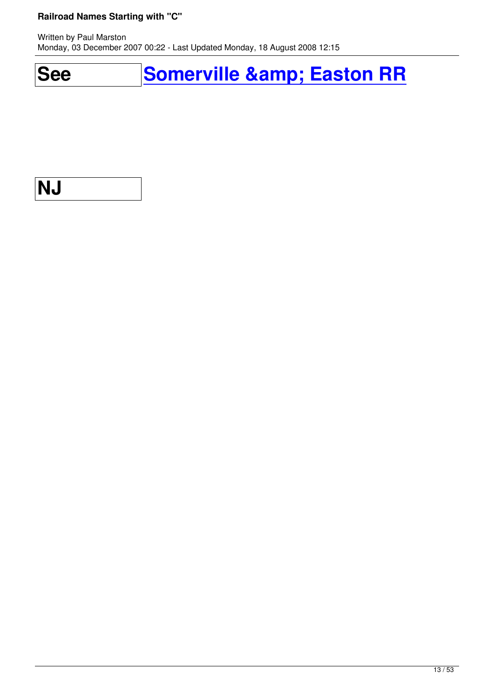# **See Somerville & amp; Easton RR**

# **NJ**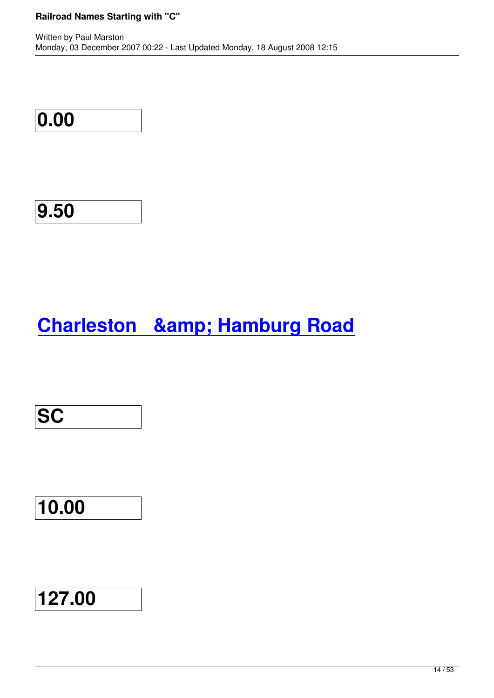

# **Charleston & amp; Hamburg Road**

#### **SC**

# **10.00**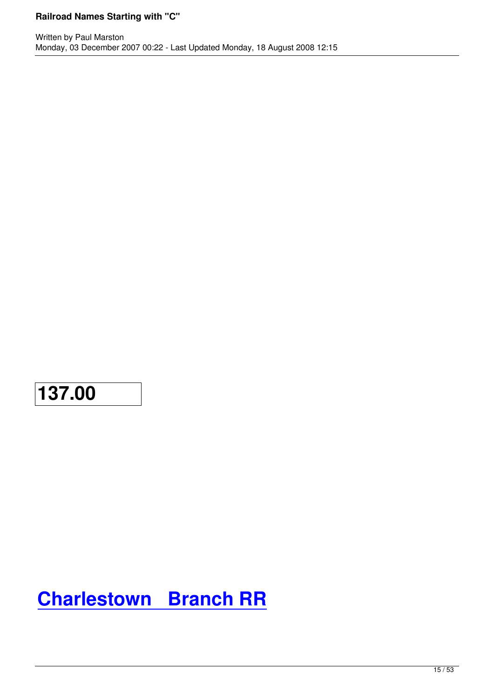Written by Paul Marston by Paul Marston by Paul Marston by Paul Marston by Paul Marston by Paul Marston by Pau

**Charlestown Branch RR**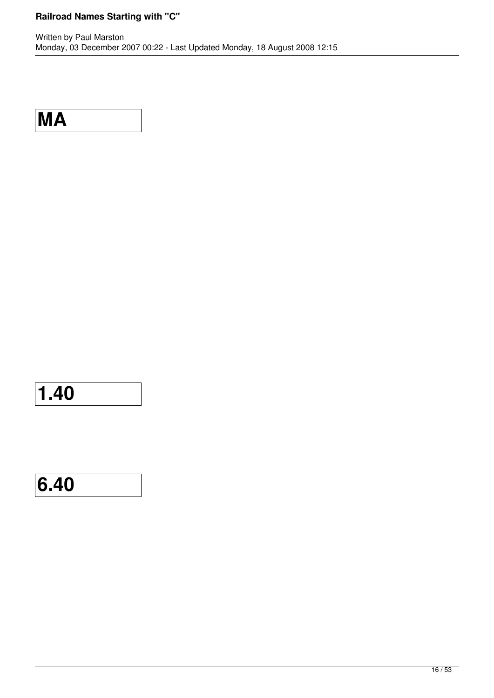

#### **1.40**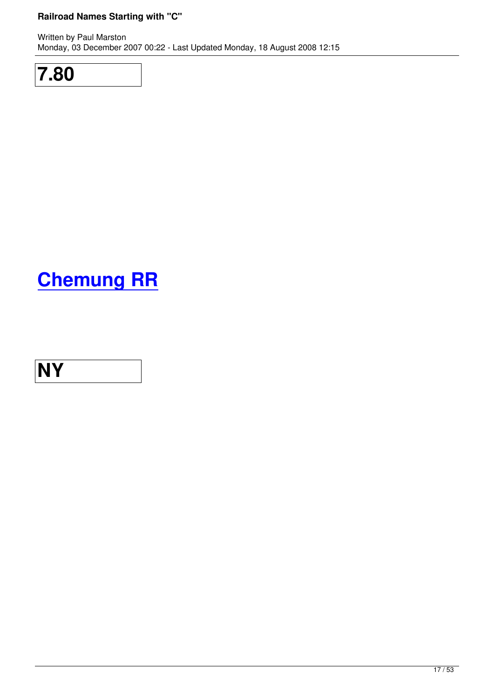Written by Paul Marston by Paul Marston by Paul Marston by Paul Marston by Paul Marston by Paul Marston by Pau

# **Chemung RR**

### **NY**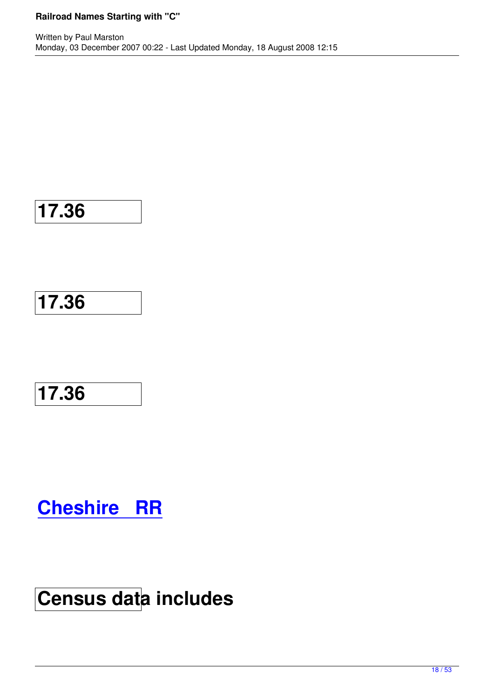Written by Paul Marston by Paul Marston by Paul Marston by Paul Marston by Paul Marston by Paul Marston by Pau

#### **17.36**

#### **17.36**

# **Cheshire RR**

# **Census data includes**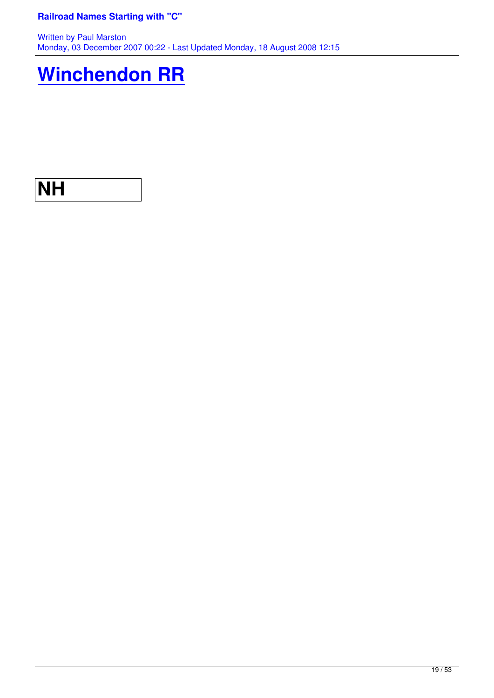# **Winchendon RR**

# **NH**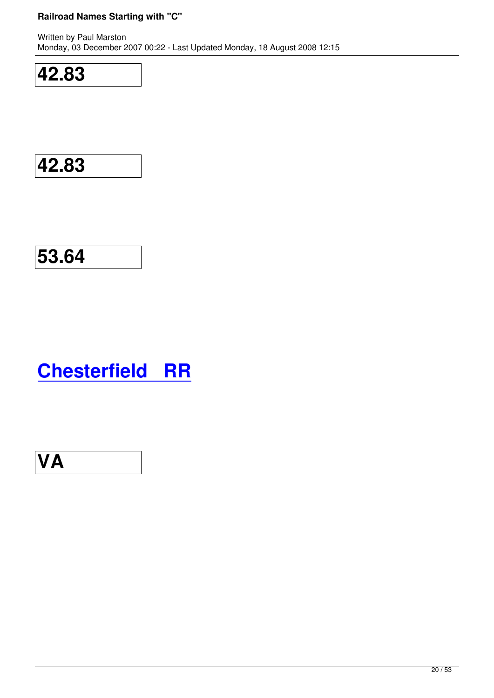**42.83**

**53.64**

# **Chesterfield RR**

$$
\boxed{\text{VA}}
$$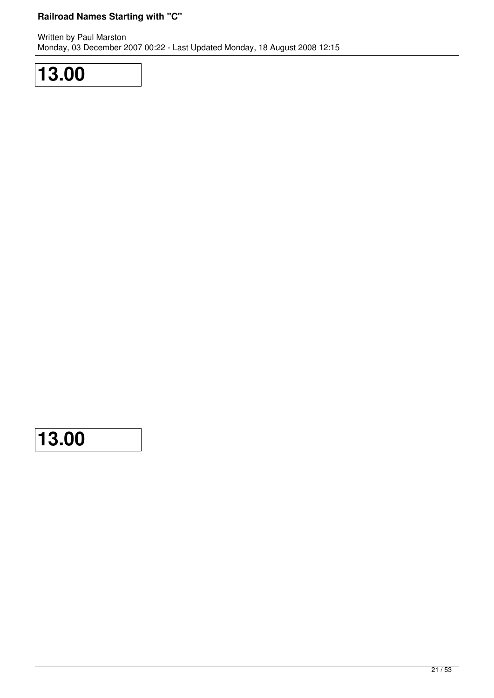#### **13.00**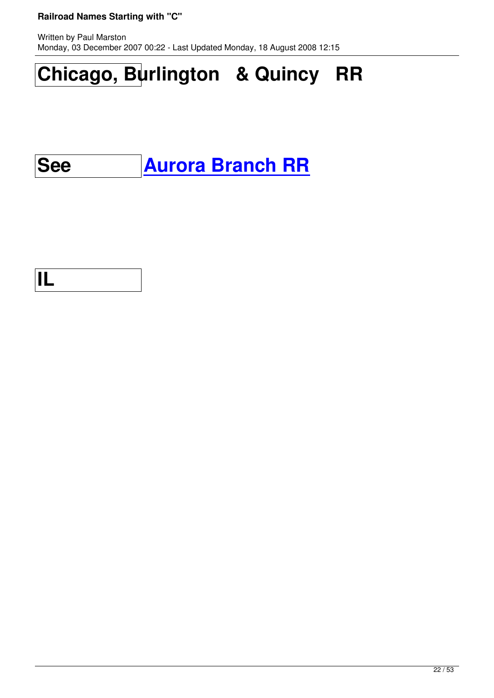# **Chicago, Burlington & Quincy RR**

# **See Aurora Branch RR**

**IL**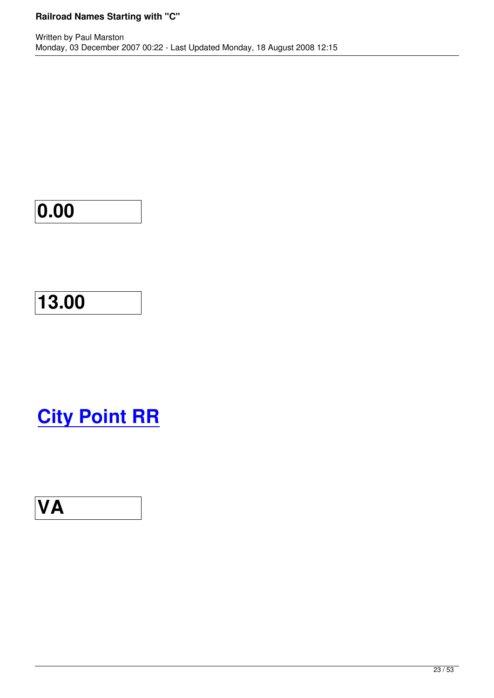Written by Paul Marston by Paul Marston by Paul Marston by Paul Marston by Paul Marston by Paul Marston by Pau

### **13.00**

# **City Point RR**

# **VA**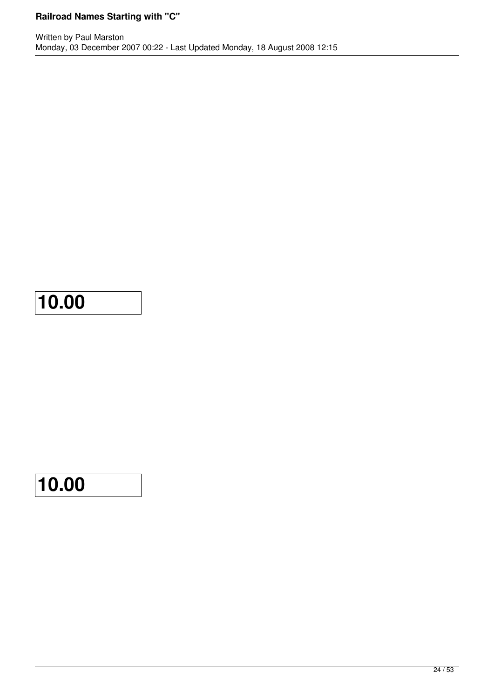#### **10.00**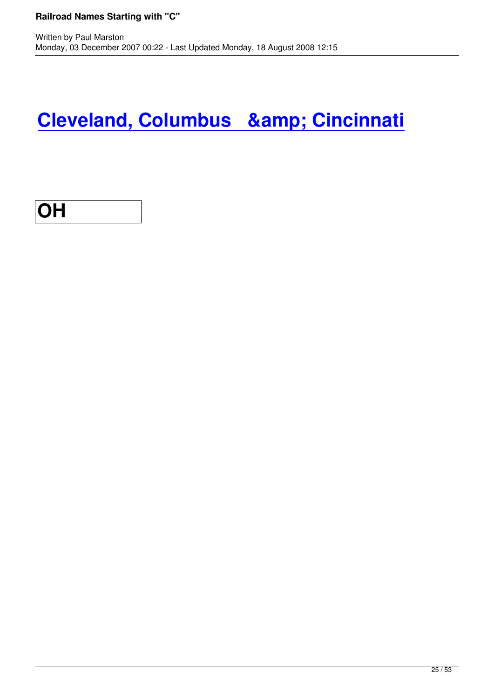# **Cleveland, Columbus & & Rings, Cincinnation**

### **OH**

Written by Paul Marston by Paul Marston by Paul Marston by Paul Marston by Paul Marston by Paul Marston by Pau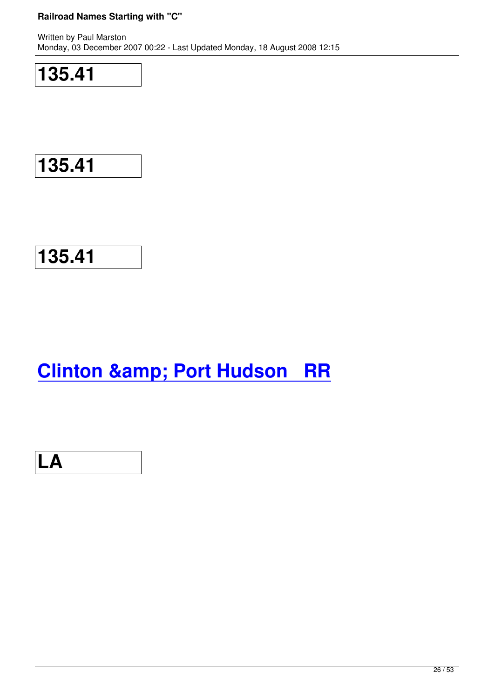**135.41**

**135.41**

# **Clinton & Port Hudson RR**

$$
\boxed{\mathsf{LA}}
$$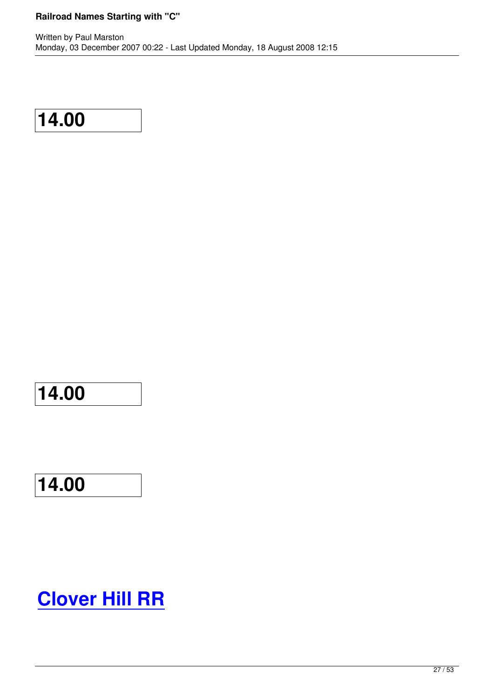Written by Paul Marston by Paul Marston by Paul Marston by Paul Marston by Paul Marston by Paul Marston by Pau

### **14.00**

# **14.00**

# **Clover Hill RR**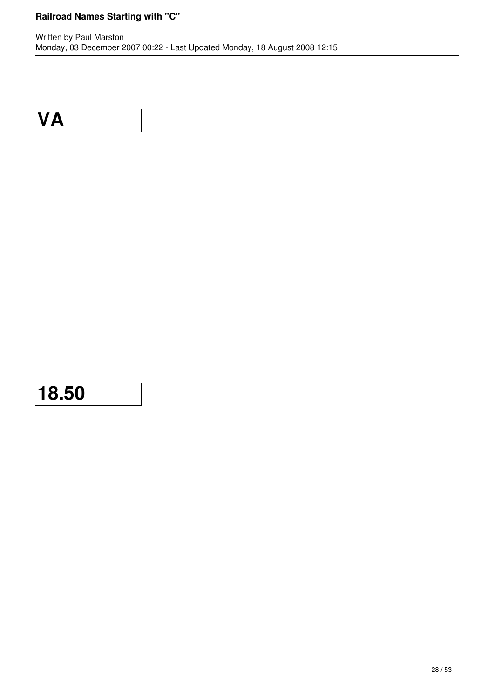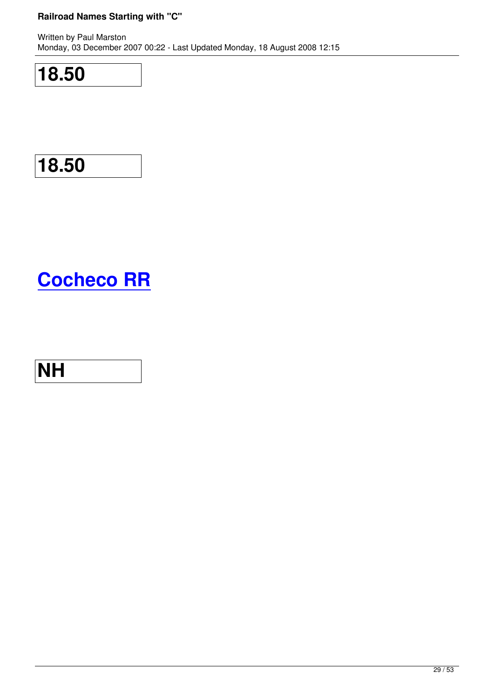# **18.50**

# **Cocheco RR**

# **NH**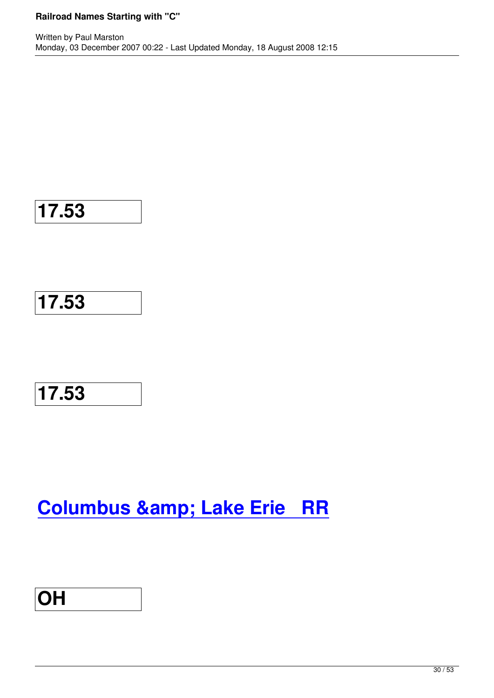Written by Paul Marston by Paul Marston by Paul Marston by Paul Marston by Paul Marston by Paul Marston by Pau

### **17.53**

#### **17.53**

# **Columbus & amp; Lake Erie RR**

# **OH**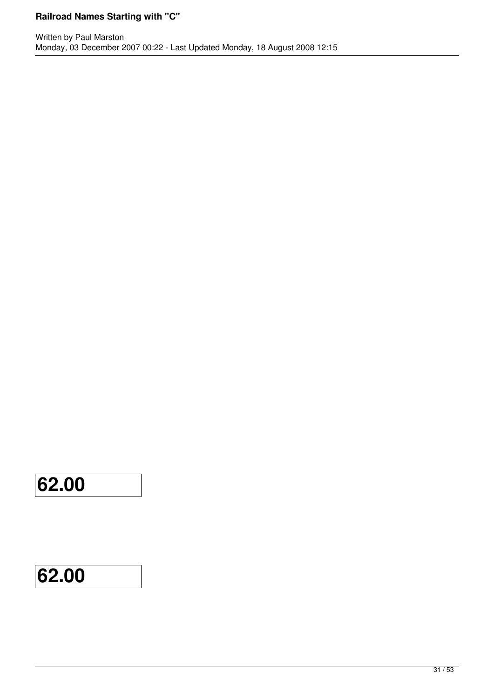# **62.00**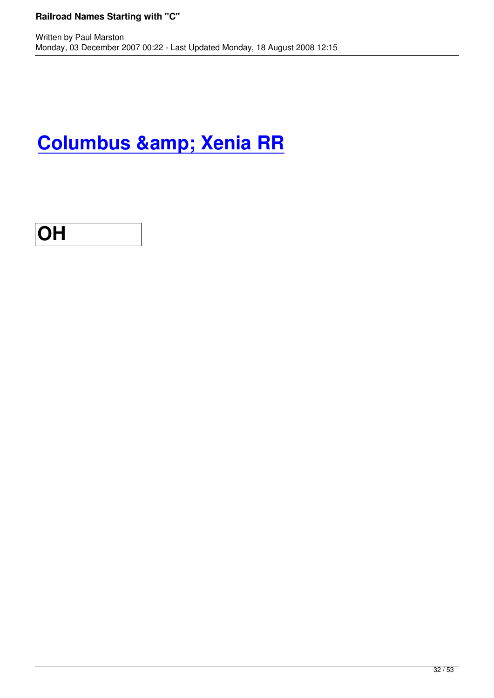# **Columbus & amp; Xenia RR**

#### **OH**

Written by Paul Marston by Paul Marston by Paul Marston by Paul Marston by Paul Marston by Paul Marston by Pau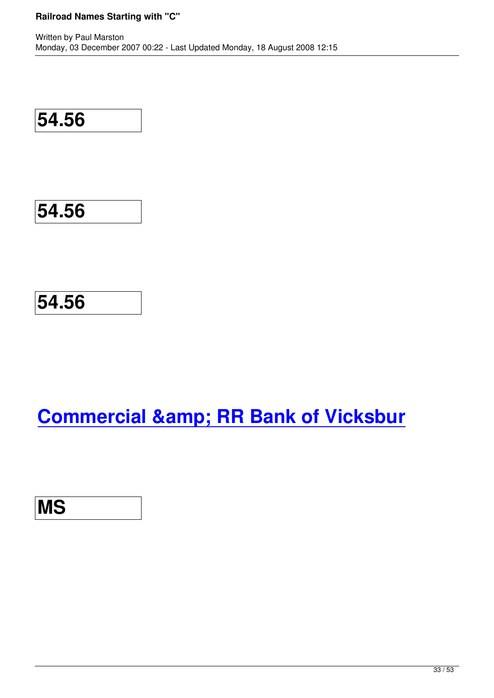### **54.56**

### **54.56**

### **Commercial & RR Bank of Vicksbur**

**MS**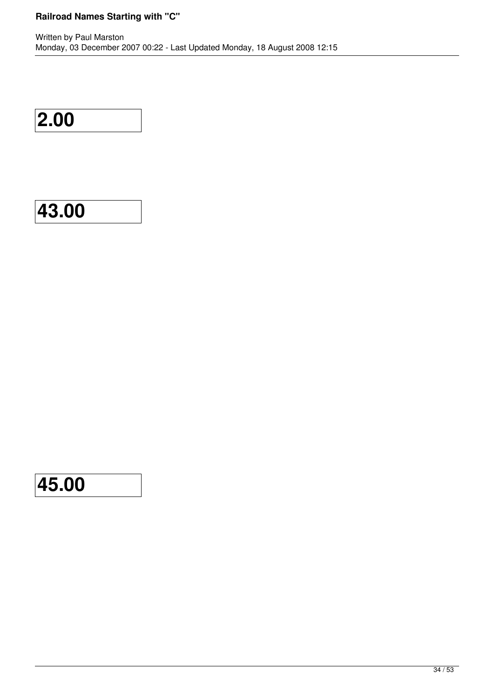# **2.00**

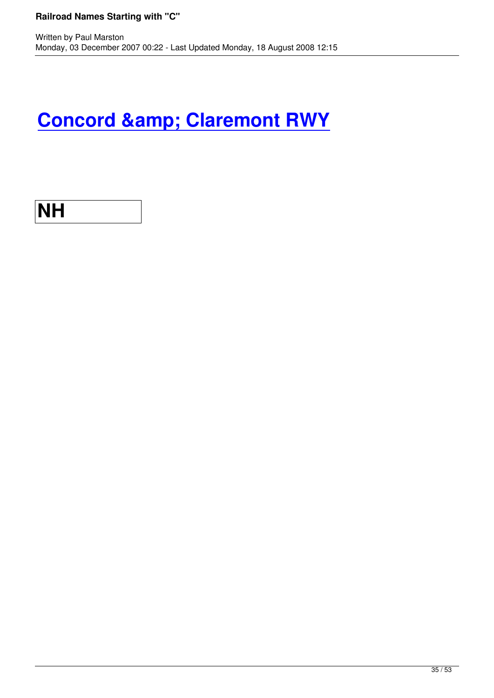# **Concord & Claremont RWY**

# **NH**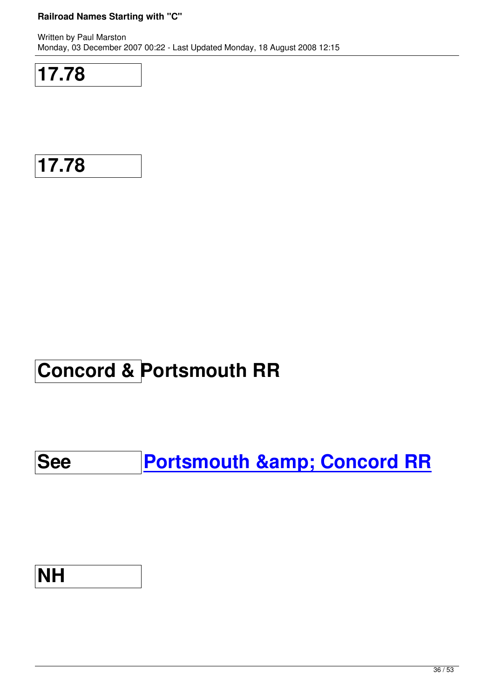

# **Concord & Portsmouth RR**

**See Portsmouth & amp; Concord RR** 

$$
|\mathsf{NH}|
$$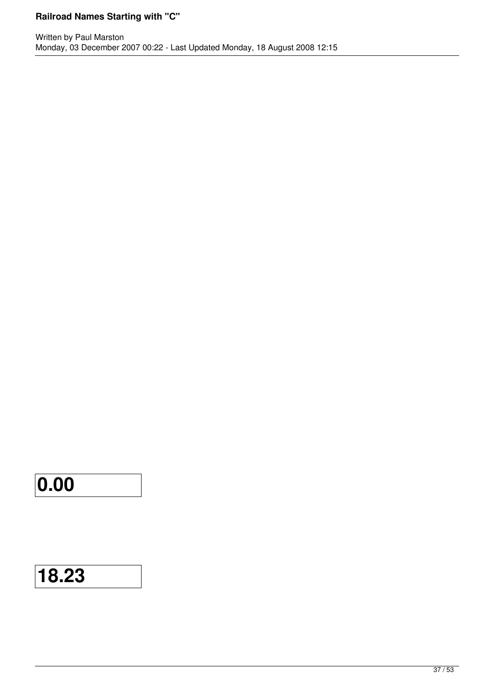# **0.00**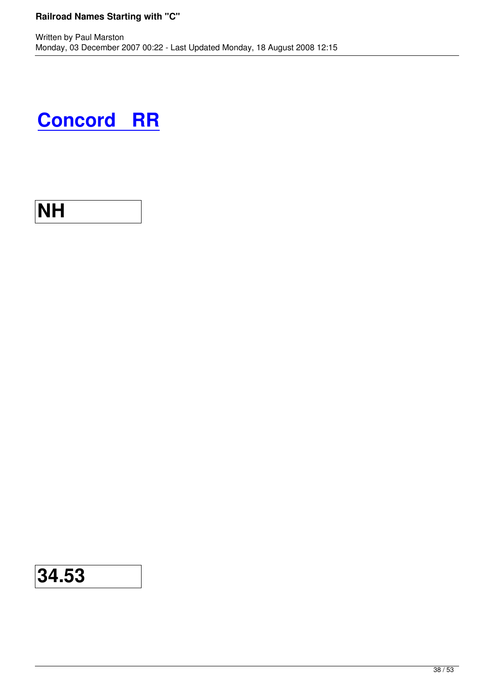### **Concord RR**

Written by Paul Marston by Paul Marston by Paul Marston by Paul Marston by Paul Marston by Paul Marston by Pau

### **NH**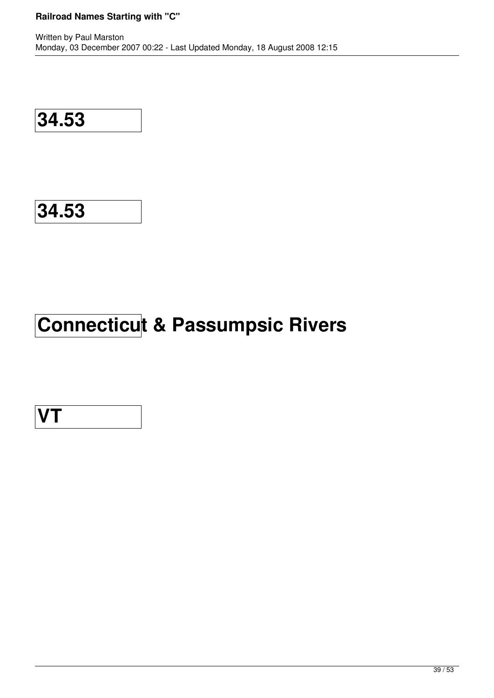$$
\fbox{34.53}
$$

$$
\fbox{34.53}
$$

# **Connecticut & Passumpsic Rivers**

$$
\mathsf{V}\mathsf{T}
$$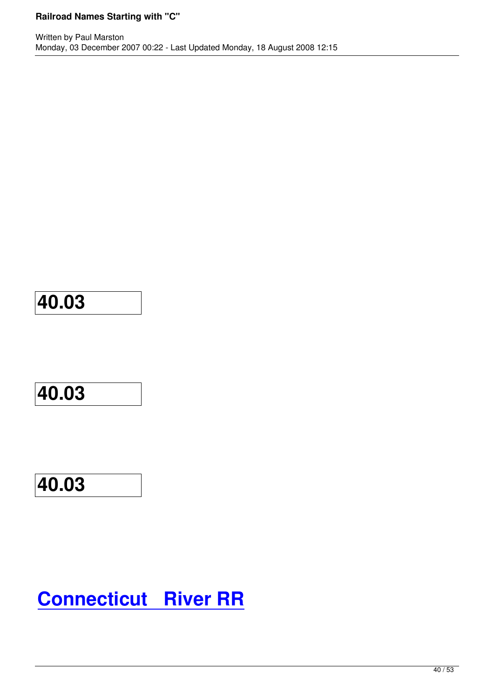Written by Paul Marston by Paul Marston by Paul Marston by Paul Marston by Paul Marston by Paul Marston by Pau

#### **40.03**

### **40.03**

# **Connecticut River RR**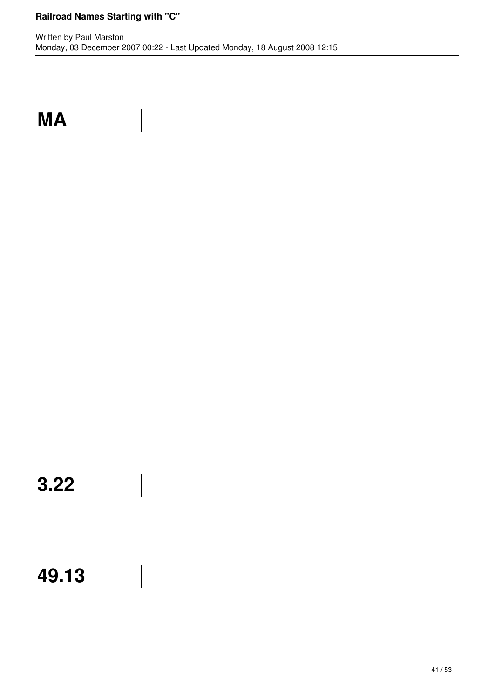

# **3.22**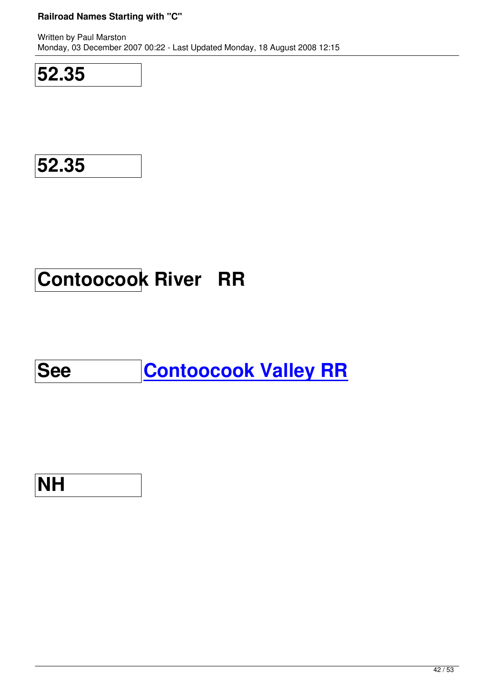**52.35**

# **Contoocook River RR**

**See Contoocook Valley RR** 

**NH**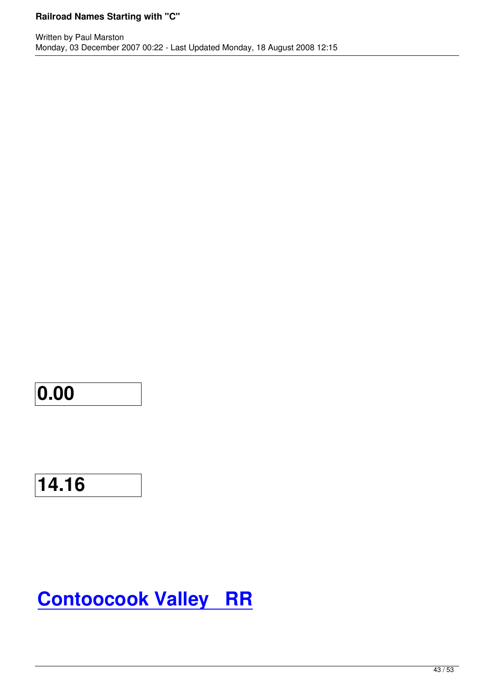Written by Paul Marston by Paul Marston by Paul Marston by Paul Marston by Paul Marston by Paul Marston by Pau

# **14.16**

# **Contoocook Valley RR**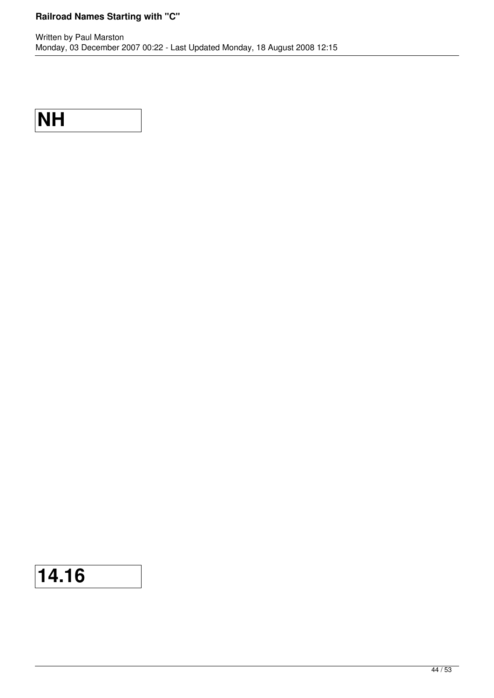# **NH**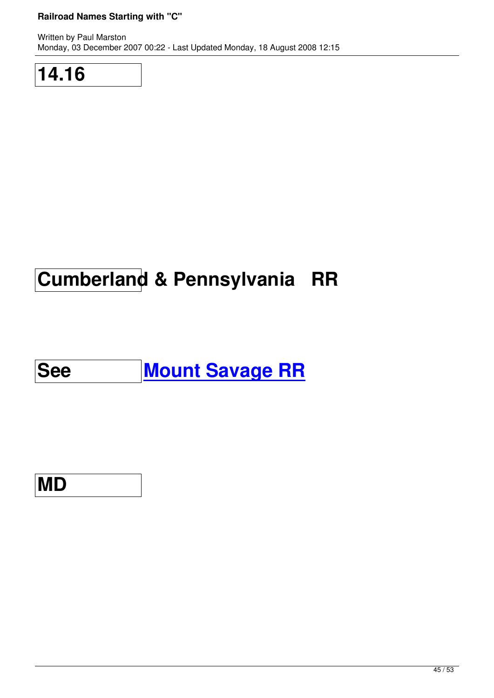Written by Paul Marston by Paul Marston by Paul Marston by Paul Marston by Paul Marston by Paul Marston by Pau

# **Cumberland & Pennsylvania RR**

**See Mount Savage RR** 

**MD**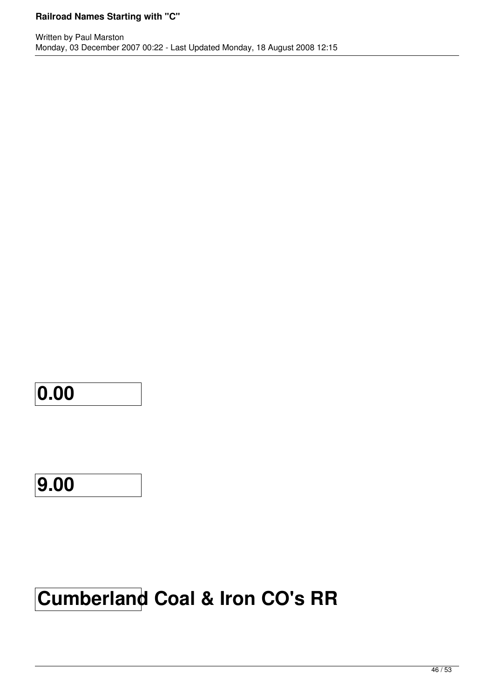### **0.00**

# **9.00**

# **Cumberland Coal & Iron CO's RR**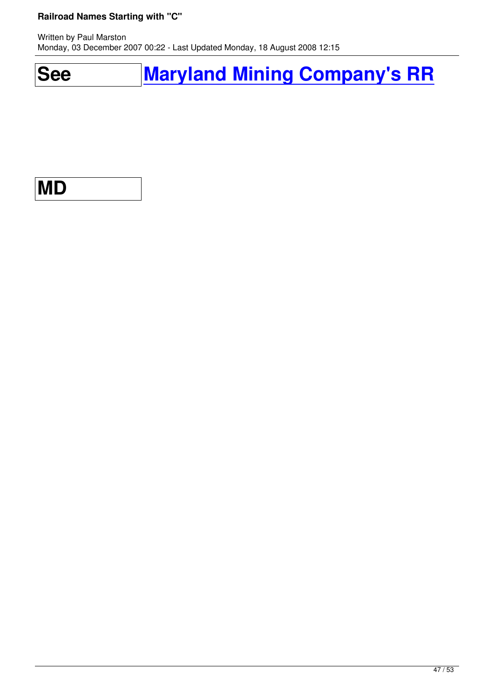# **See Maryland Mining Company's RR**

### **MD**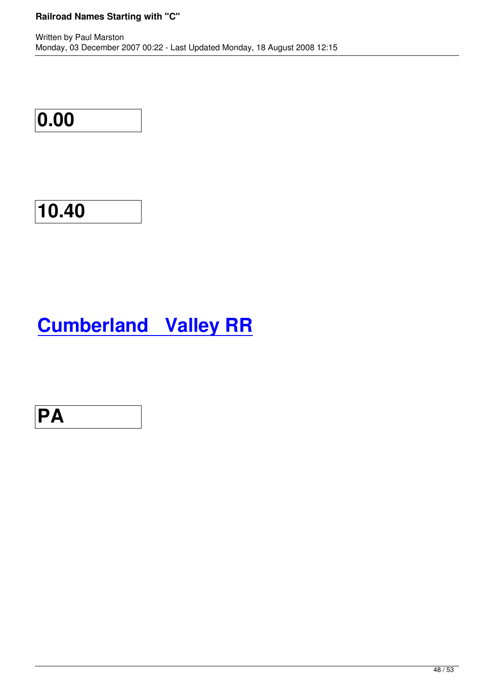# **10.40**

# **Cumberland Valley RR**

#### **PA**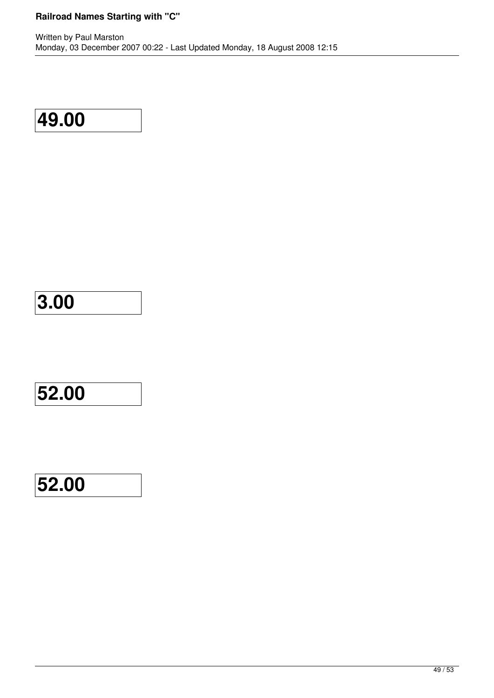

#### **3.00**

#### **52.00**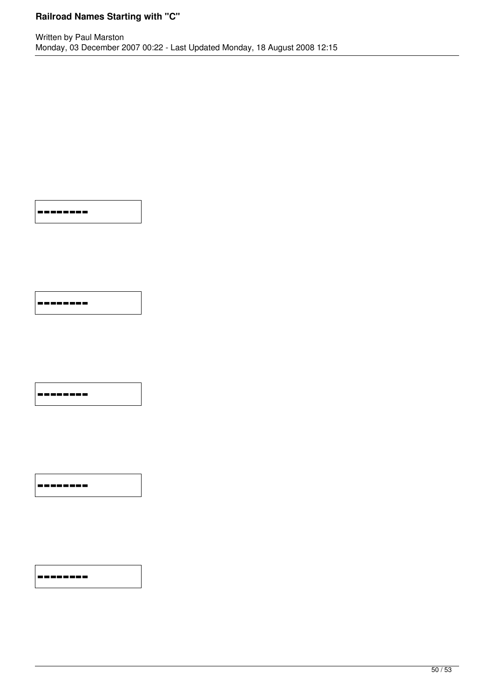**--------**

**--------**

**--------**

**--------**

**--------**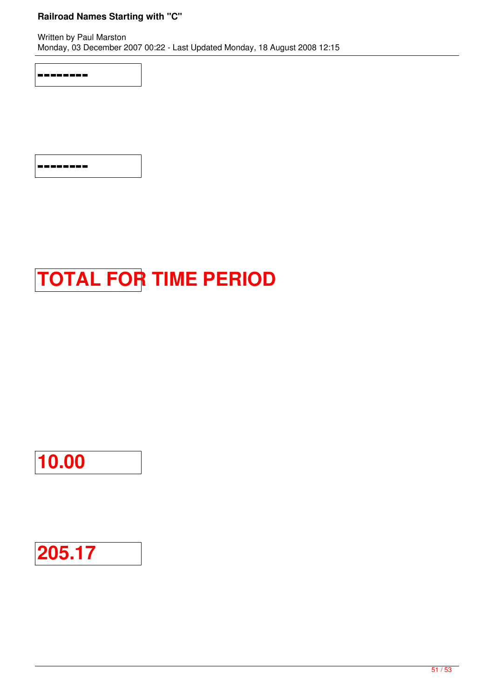**--------**

**--------**

# **TOTAL FOR TIME PERIOD**

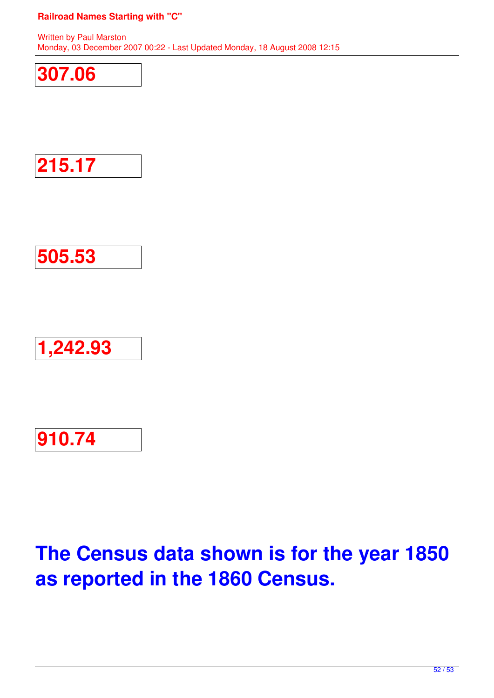### **307.06**

# **215.17**







# **The Census data shown is for the year 1850 as reported in the 1860 Census.**